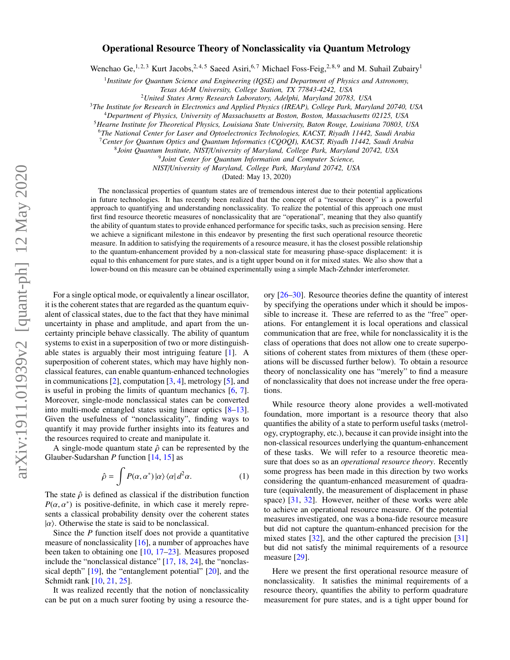# Operational Resource Theory of Nonclassicality via Quantum Metrology

Wenchao Ge,<sup>1, 2, 3</sup> Kurt Jacobs, <sup>2, 4, 5</sup> Saeed Asiri, <sup>6, 7</sup> Michael Foss-Feig, <sup>2, 8, 9</sup> and M. Suhail Zubairy<sup>1</sup>

1 *Institute for Quantum Science and Engineering (IQSE) and Department of Physics and Astronomy,*

*Texas A*&*M University, College Station, TX 77843-4242, USA*

<sup>2</sup>*United States Army Research Laboratory, Adelphi, Maryland 20783, USA*

<sup>3</sup>*The Institute for Research in Electronics and Applied Physics (IREAP), College Park, Maryland 20740, USA*

<sup>4</sup>*Department of Physics, University of Massachusetts at Boston, Boston, Massachusetts 02125, USA*

<sup>5</sup>*Hearne Institute for Theoretical Physics, Louisiana State University, Baton Rouge, Louisiana 70803, USA*

<sup>6</sup>*The National Center for Laser and Optoelectronics Technologies, KACST, Riyadh 11442, Saudi Arabia*

<sup>7</sup>*Center for Quantum Optics and Quantum Informatics (CQOQI), KACST, Riyadh 11442, Saudi Arabia*

8 *Joint Quantum Institute, NIST*/*University of Maryland, College Park, Maryland 20742, USA*

9 *Joint Center for Quantum Information and Computer Science,*

*NIST*/*University of Maryland, College Park, Maryland 20742, USA*

(Dated: May 13, 2020)

The nonclassical properties of quantum states are of tremendous interest due to their potential applications in future technologies. It has recently been realized that the concept of a "resource theory" is a powerful approach to quantifying and understanding nonclassicality. To realize the potential of this approach one must first find resource theoretic measures of nonclassicality that are "operational", meaning that they also quantify the ability of quantum states to provide enhanced performance for specific tasks, such as precision sensing. Here we achieve a significant milestone in this endeavor by presenting the first such operational resource theoretic measure. In addition to satisfying the requirements of a resource measure, it has the closest possible relationship to the quantum-enhancement provided by a non-classical state for measuring phase-space displacement: it is equal to this enhancement for pure states, and is a tight upper bound on it for mixed states. We also show that a lower-bound on this measure can be obtained experimentally using a simple Mach-Zehnder interferometer.

For a single optical mode, or equivalently a linear oscillator, it is the coherent states that are regarded as the quantum equivalent of classical states, due to the fact that they have minimal uncertainty in phase and amplitude, and apart from the uncertainty principle behave classically. The ability of quantum systems to exist in a superposition of two or more distinguishable states is arguably their most intriguing feature [\[1\]](#page-6-0). A superposition of coherent states, which may have highly nonclassical features, can enable quantum-enhanced technologies in communications [\[2\]](#page-6-1), computation [\[3,](#page-6-2) [4\]](#page-6-3), metrology [\[5\]](#page-6-4), and is useful in probing the limits of quantum mechanics [\[6,](#page-6-5) [7\]](#page-6-6). Moreover, single-mode nonclassical states can be converted into multi-mode entangled states using linear optics [\[8](#page-6-7)[–13\]](#page-7-0). Given the usefulness of "nonclassicality", finding ways to quantify it may provide further insights into its features and the resources required to create and manipulate it.

A single-mode quantum state  $\hat{\rho}$  can be represented by the Glauber-Sudarshan *P* function [\[14,](#page-7-1) [15\]](#page-7-2) as

<span id="page-0-0"></span>
$$
\hat{\rho} = \int P(\alpha, \alpha^*) \, |\alpha\rangle \, \langle \alpha | \, d^2 \alpha. \tag{1}
$$

The state  $\hat{\rho}$  is defined as classical if the distribution function  $P(\alpha, \alpha^*)$  is positive-definite, in which case it merely repre-<br>sents a classical probability density over the coherent states sents a classical probability density over the coherent states  $|\alpha\rangle$ . Otherwise the state is said to be nonclassical.

Since the *P* function itself does not provide a quantitative measure of nonclassicality [\[16\]](#page-7-3), a number of approaches have been taken to obtaining one [\[10,](#page-6-8) [17–](#page-7-4)[23\]](#page-7-5). Measures proposed include the "nonclassical distance" [\[17,](#page-7-4) [18,](#page-7-6) [24\]](#page-7-7), the "nonclassical depth" [\[19\]](#page-7-8), the "entanglement potential" [\[20\]](#page-7-9), and the Schmidt rank [\[10,](#page-6-8) [21,](#page-7-10) [25\]](#page-7-11).

It was realized recently that the notion of nonclassicality can be put on a much surer footing by using a resource theory [\[26](#page-7-12)[–30\]](#page-7-13). Resource theories define the quantity of interest by specifying the operations under which it should be impossible to increase it. These are referred to as the "free" operations. For entanglement it is local operations and classical communication that are free, while for nonclassicality it is the class of operations that does not allow one to create superpositions of coherent states from mixtures of them (these operations will be discussed further below). To obtain a resource theory of nonclassicality one has "merely" to find a measure of nonclassicality that does not increase under the free operations.

While resource theory alone provides a well-motivated foundation, more important is a resource theory that also quantifies the ability of a state to perform useful tasks (metrology, cryptography, etc.), because it can provide insight into the non-classical resources underlying the quantum-enhancement of these tasks. We will refer to a resource theoretic measure that does so as an *operational resource theory*. Recently some progress has been made in this direction by two works considering the quantum-enhanced measurement of quadrature (equivalently, the measurement of displacement in phase space) [\[31,](#page-7-14) [32\]](#page-7-15). However, neither of these works were able to achieve an operational resource measure. Of the potential measures investigated, one was a bona-fide resource measure but did not capture the quantum-enhanced precision for the mixed states [\[32\]](#page-7-15), and the other captured the precision [\[31\]](#page-7-14) but did not satisfy the minimal requirements of a resource measure [\[29\]](#page-7-16).

Here we present the first operational resource measure of nonclassicality. It satisfies the minimal requirements of a resource theory, quantifies the ability to perform quadrature measurement for pure states, and is a tight upper bound for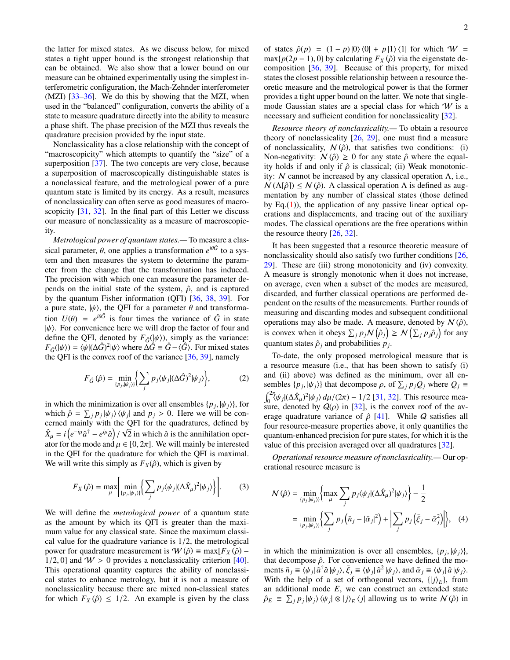the latter for mixed states. As we discuss below, for mixed states a tight upper bound is the strongest relationship that can be obtained. We also show that a lower bound on our measure can be obtained experimentally using the simplest interferometric configuration, the Mach-Zehnder interferometer (MZI) [\[33–](#page-7-17)[36\]](#page-7-18). We do this by showing that the MZI, when used in the "balanced" configuration, converts the ability of a state to measure quadrature directly into the ability to measure a phase shift. The phase precision of the MZI thus reveals the quadrature precision provided by the input state.

Nonclassicality has a close relationship with the concept of "macroscopicity" which attempts to quantify the "size" of a superposition [\[37\]](#page-7-19). The two concepts are very close, because a superposition of macroscopically distinguishable states is a nonclassical feature, and the metrological power of a pure quantum state is limited by its energy. As a result, measures of nonclassicality can often serve as good measures of macro-scopicity [\[31,](#page-7-14) [32\]](#page-7-15). In the final part of this Letter we discuss our measure of nonclassicality as a measure of macroscopicity.

*Metrological power of quantum states.—* To measure a classical parameter,  $\theta$ , one applies a transformation  $e^{i\theta \hat{G}}$  to a system and then measures the system to determine the paramtem and then measures the system to determine the parameter from the change that the transformation has induced. The precision with which one can measure the parameter depends on the initial state of the system,  $\hat{\rho}$ , and is captured by the quantum Fisher information (QFI) [\[36,](#page-7-18) [38,](#page-7-20) [39\]](#page-7-21). For a pure state,  $|\psi\rangle$ , the QFI for a parameter  $\theta$  and transformation  $U(\theta) = e$ <br> $\psi(\theta)$  For conven  $i\theta$ <sup>*i*θ $\hat{G}$ </sup> is four times the variance of  $\hat{G}$  in state  $|\psi\rangle$ . For convenience here we will drop the factor of four and define the OFI denoted by  $F_{\hat{e}}(|\psi\rangle)$  simply as the variance: define the QFI, denoted by  $F_{\hat{G}}(\vert \psi \rangle)$ , simply as the variance:  $F_{\hat{G}}(|\psi\rangle) = \langle \psi | (\Delta \hat{G})^2 | \psi \rangle$  where  $\Delta \hat{G} \equiv \hat{G} - \langle \hat{G} \rangle$ . For mixed states the OFI is the convex roof of the variance [36, 39] namely the QFI is the convex roof of the variance  $[36, 39]$  $[36, 39]$  $[36, 39]$ , namely

$$
F_{\hat{G}}(\hat{\rho}) = \min_{\{p_j, |\psi_j\rangle\}} \left\{ \sum_j p_j \langle \psi_j | (\Delta \hat{G})^2 | \psi_j \rangle \right\},\tag{2}
$$

in which the minimization is over all ensembles  $\{p_j, |\psi_j\rangle\}$ , for which  $\hat{\rho} = \sum_i p_i |\psi_i\rangle \langle \psi_i|$  and  $p_i > 0$ . Here we will be conwhich  $\hat{\rho} = \sum_j p_j |\psi_j\rangle \langle \psi_j|$  and  $p_j > 0$ . Here we will be con-<br>cerned mainly with the OFI for the quadratures, defined by cerned mainly with the QFI for the quadratures, defined by √  $\hat{X}_{\mu} = i\left(e^{-i\mu}\hat{a}^{\dagger} - e^{i\mu}\hat{a}\right)/\sqrt{2}$  in which  $\hat{a}$  is the annihilation operator for the mode and  $\mu \in [0, 2\pi]$ . We will mainly be interested<br>in the OFI for the quadrature for which the OFI is maximal in the QFI for the quadrature for which the QFI is maximal. We will write this simply as  $F_X(\hat{\rho})$ , which is given by

$$
F_X(\hat{\rho}) = \max_{\mu} \left[ \min_{\{p_j, |\psi_j\rangle\}} \left\{ \sum_j p_j \langle \psi_j | (\Delta \hat{X}_{\mu})^2 | \psi_j \rangle \right\} \right].
$$
 (3)

We will define the *metrological power* of a quantum state as the amount by which its QFI is greater than the maximum value for any classical state. Since the maximum classical value for the quadrature variance is 1/2, the metrological power for quadrature measurement is  $W(\hat{\rho}) = \max[F_X(\hat{\rho}) 1/2$ , 0] and  $W > 0$  provides a nonclassicality criterion [\[40\]](#page-7-22). This operational quantity captures the ability of nonclassical states to enhance metrology, but it is not a measure of nonclassicality because there are mixed non-classical states for which  $F_X(\hat{\rho}) \leq 1/2$ . An example is given by the class

of states  $\hat{\rho}(p) = (1-p)|0\rangle\langle 0| + p|1\rangle\langle 1|$  for which  $W =$  $\max\{p(2p-1), 0\}$  by calculating  $F_X(\hat{\rho})$  via the eigenstate decomposition [\[36,](#page-7-18) [39\]](#page-7-21). Because of this property, for mixed states the closest possible relationship between a resource theoretic measure and the metrological power is that the former provides a tight upper bound on the latter. We note that singlemode Gaussian states are a special class for which  $W$  is a necessary and sufficient condition for nonclassicality [\[32\]](#page-7-15).

*Resource theory of nonclassicality.—* To obtain a resource theory of nonclassicality  $[26, 29]$  $[26, 29]$  $[26, 29]$ , one must find a measure of nonclassicality,  $N(\hat{\rho})$ , that satisfies two conditions: (i) Non-negativity:  $N(\hat{\rho}) \ge 0$  for any state  $\hat{\rho}$  where the equality holds if and only if  $\hat{\rho}$  is classical; (ii) Weak monotonicity: N cannot be increased by any classical operation Λ, i.e.,  $N(\Lambda[\hat{\rho}]) \leq N(\hat{\rho})$ . A classical operation  $\Lambda$  is defined as augmentation by any number of classical states (those defined by Eq. $(1)$ ), the application of any passive linear optical operations and displacements, and tracing out of the auxiliary modes. The classical operations are the free operations within the resource theory [\[26,](#page-7-12) [32\]](#page-7-15).

It has been suggested that a resource theoretic measure of nonclassicality should also satisfy two further conditions [\[26,](#page-7-12) [29\]](#page-7-16). These are (iii) strong monotonicity and (iv) convexity. A measure is strongly monotonic when it does not increase, on average, even when a subset of the modes are measured, discarded, and further classical operations are performed dependent on the results of the measurements. Further rounds of measuring and discarding modes and subsequent conditiional operations may also be made. A measure, denoted by  $N(\hat{\rho})$ , is convex when it obeys  $\sum_j p_j \mathcal{N}(\hat{\rho}_j) \geq \mathcal{N}(\sum_j p_j \hat{\rho}_j)$  for any quantum states  $\hat{\rho}_j$  and probabilities  $p_j$ . quantum states  $\hat{\rho}_j$  and probabilities  $p_j$ .

To-date, the only proposed metrological measure that is a resource measure (i.e., that has been shown to satisfy (i) and (ii) above) was defined as the minimum, over all ensembles  $\{p_j, |\psi_j\rangle\}$  that decompose  $\rho$ , of  $\sum_j p_j Q_j$  where  $Q_j \equiv$  $\int_0^{2\pi} \langle \psi_j | (\Delta \hat{X}_{\mu})^2 | \psi_j \rangle d\mu/(2\pi) - 1/2$  [\[31,](#page-7-14) [32\]](#page-7-15). This resource mea-<br>sure denoted by  $Q(\rho)$  in [32] is the convex roof of the avsure, denoted by  $Q(\rho)$  in [\[32\]](#page-7-15), is the convex roof of the average quadrature variance of  $\hat{\rho}$  [\[41\]](#page-7-23). While *Q* satisfies all four resource-measure properties above, it only quantifies the quantum-enhanced precision for pure states, for which it is the value of this precision averaged over all quadratures [\[32\]](#page-7-15).

*Operational resource measure of nonclassicality.—* Our operational resource measure is

$$
\mathcal{N}(\hat{\rho}) = \min_{\{p_j, |\psi_j\rangle\}} \left\{ \max_{\mu} \sum_{j} p_j \langle \psi_j | (\Delta \hat{X}_{\mu})^2 | \psi_j \rangle \right\} - \frac{1}{2}
$$

$$
= \min_{\{p_j, |\psi_j\rangle\}} \left\{ \sum_{j} p_j \left( \bar{n}_j - |\bar{\alpha}_j|^2 \right) + \left| \sum_{j} p_j \left( \bar{\xi}_j - \bar{\alpha}_j^2 \right) \right| \right\}, \quad (4)
$$

in which the minimization is over all ensembles,  $\{p_j, |\psi_j\rangle\}$ , that decompose  $\hat{\phi}$ . For convenience we have defined the mothat decompose  $\hat{\rho}$ . For convenience we have defined the moments  $\bar{n}_j \equiv \langle \psi_j | \hat{a}^\dagger \hat{a} | \psi_j \rangle$ ,  $\bar{\xi}_j \equiv \langle \psi_j | \hat{a}^2 | \psi_j \rangle$ , and  $\bar{\alpha}_j \equiv \langle \psi_j | \hat{a} | \psi_j \rangle$ .<br>With the help of a set of orthogonal vectors  $\{ |\vec{i}\rangle_{\alpha} \}$  from With the help of a set of orthogonal vectors,  $\{|j\rangle_E\}$ , from an additional mode *E*, we can construct an extended state  $\hat{\rho}_E \equiv \sum_j p_j |\psi_j\rangle \langle \psi_j| \otimes |j\rangle_E \langle j|$  allowing us to write  $N(\hat{\rho})$  in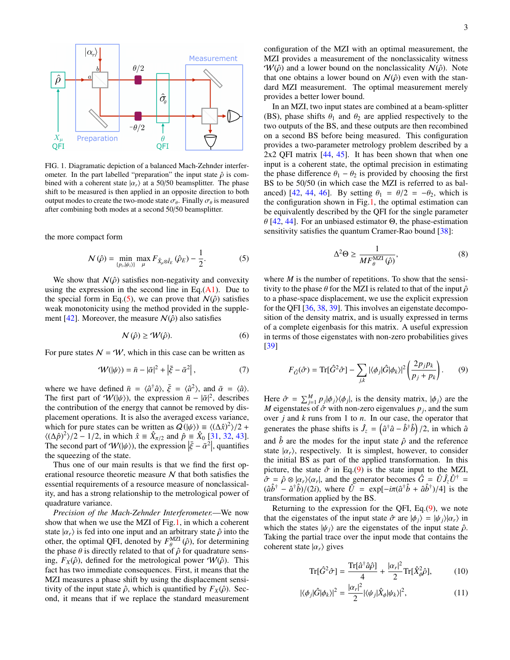

<span id="page-2-1"></span>FIG. 1. Diagramatic depiction of a balanced Mach-Zehnder interferometer. In the part labelled "preparation" the input state  $\hat{\rho}$  is combined with a coherent state  $|\alpha_r\rangle$  at a 50/50 beamsplitter. The phase shift to be measured is then applied in an opposite direction to both output modes to create the two-mode state  $\sigma_{\theta}$ . Finally  $\sigma_{\theta}$  is measured after combining both modes at a second 50/50 beamsplitter after combining both modes at a second 50/50 beamsplitter.

the more compact form

$$
\mathcal{N}\left(\hat{\rho}\right) = \min_{\{p_i,|\psi_i\rangle\}} \max_{\mu} F_{\hat{X}_\mu \otimes \hat{I}_E} \left(\hat{\rho}_E\right) - \frac{1}{2}.\tag{5}
$$

We show that  $N(\hat{\rho})$  satisfies non-negativity and convexity using the expression in the second line in Eq. $(A1)$ . Due to the special form in Eq.[\(5\)](#page-2-0), we can prove that  $N(\hat{\rho})$  satisfies weak monotonicity using the method provided in the supple-ment [\[42\]](#page-7-24). Moreover, the measure  $N(\hat{\rho})$  also satisfies

$$
\mathcal{N}\left(\hat{\rho}\right) \ge \mathcal{W}(\hat{\rho}).\tag{6}
$$

For pure states  $N = W$ , which in this case can be written as

$$
\mathcal{W}(|\psi\rangle) = \bar{n} - |\bar{\alpha}|^2 + |\bar{\xi} - \bar{\alpha}^2|,\tag{7}
$$

where we have defined  $\bar{n} = \langle \hat{a}^{\dagger} \hat{a} \rangle$ ,  $\bar{\xi} = \langle \hat{a}^2 \rangle$ , and  $\bar{\alpha} = \langle \hat{a} \rangle$ .<br>The first part of  $\mathcal{W}(\psi)$  the expression  $\bar{n} = |\bar{\alpha}|^2$  describes The first part of  $W(|\psi\rangle)$ , the expression  $\bar{n} - |\bar{\alpha}|^2$ , describes the contribution of the energy that cannot be removed by disthe contribution of the energy that cannot be removed by displacement operations. It is also the averaged excess variance, which for pure states can be written as  $Q(|\psi\rangle) \equiv \langle (\Delta \hat{x})^2 \rangle / 2 +$ <br> $\langle (\Delta \hat{\beta})^2 \rangle / 2 - 1/2$  in which  $\hat{x} = \hat{X}$  a and  $\hat{\beta} = \hat{X}$ <sub>o</sub> [31, 32, 43]  $\langle (\Delta \hat{p})^2 \rangle / 2 - 1/2$ , in which  $\hat{x} = \hat{X}_{\pi/2}$  and  $\hat{p} = \hat{X}_0$  [\[31,](#page-7-14) [32,](#page-7-15) [43\]](#page-7-25).<br>The second part of  $W(\psi)$  the expression  $|\bar{\xi} - \bar{\sigma}^2|$  quantifies The second part of  $W(|\psi\rangle)$ , the expression  $|\bar{\xi} - \bar{\alpha}^2|$ , quantifies the squeezing of the state the squeezing of the state.

Thus one of our main results is that we find the first operational resource theoretic measure  $N$  that both satisfies the essential requirements of a resource measure of nonclassicality, and has a strong relationship to the metrological power of quadrature variance.

*Precision of the Mach-Zehnder Interferometer.*—We now show that when we use the MZI of Fig[.1,](#page-2-1) in which a coherent state  $|\alpha_r\rangle$  is fed into one input and an arbitrary state  $\hat{\rho}$  into the other, the optimal QFI, denoted by  $F_{\theta}^{MLI}(\hat{\rho})$ , for determining the phase  $\theta$  is directly related to that of  $\hat{\rho}$  for quadrature sensthe phase  $\theta$  is directly related to that of  $\hat{\rho}$  for quadrature sens-<br>ing  $F_v(\hat{\rho})$  defined for the metrological power  $\mathcal{W}(\hat{\rho})$ . This ing,  $F_X(\hat{\rho})$ , defined for the metrological power  $W(\hat{\rho})$ . This fact has two immediate consequences. First, it means that the MZI measures a phase shift by using the displacement sensitivity of the input state  $\hat{\rho}$ , which is quantified by  $F_X(\hat{\rho})$ . Second, it means that if we replace the standard measurement configuration of the MZI with an optimal measurement, the MZI provides a measurement of the nonclassicality witness  $W(\hat{\rho})$  and a lower bound on the nonclassicality  $N(\hat{\rho})$ . Note that one obtains a lower bound on  $N(\hat{\rho})$  even with the standard MZI measurement. The optimal measurement merely provides a better lower bound.

In an MZI, two input states are combined at a beam-splitter (BS), phase shifts  $\theta_1$  and  $\theta_2$  are applied respectively to the two outputs of the BS, and these outputs are then recombined on a second BS before being measured. This configuration provides a two-parameter metrology problem described by a 2x2 QFI matrix [\[44,](#page-7-26) [45\]](#page-7-27). It has been shown that when one input is a coherent state, the optimal precision in estimating the phase difference  $\theta_1 - \theta_2$  is provided by choosing the first BS to be 50/50 (in which case the MZI is referred to as bal-anced) [\[42,](#page-7-24) [44,](#page-7-26) [46\]](#page-7-28). By setting  $\theta_1 = \theta/2 = -\theta_2$ , which is the configuration shown in Fig[.1,](#page-2-1) the optimal estimation can be equivalently described by the QFI for the single parameter θ [\[42,](#page-7-24) [44\]](#page-7-26). For an unbiased estimator <sup>Θ</sup>, the phase-estimation sensitivity satisfies the quantum Cramer-Rao bound [\[38\]](#page-7-20):

<span id="page-2-4"></span><span id="page-2-2"></span>
$$
\Delta^2 \Theta \ge \frac{1}{M F_{\theta}^{\text{MZI}}(\hat{\rho})},\tag{8}
$$

<span id="page-2-3"></span><span id="page-2-0"></span>where  $M$  is the number of repetitions. To show that the sensitivity to the phase  $\theta$  for the MZI is related to that of the input  $\hat{\rho}$ to a phase-space displacement, we use the explicit expression for the QFI [\[36,](#page-7-18) [38,](#page-7-20) [39\]](#page-7-21). This involves an eigenstate decomposition of the density matrix, and is usually expressed in terms of a complete eigenbasis for this matrix. A useful expression in terms of those eigenstates with non-zero probabilities gives [\[39\]](#page-7-21)

$$
F_{\hat{G}}(\hat{\sigma}) = \text{Tr}[\hat{G}^2 \hat{\sigma}] - \sum_{j,k} |\langle \phi_j | \hat{G} | \phi_k \rangle|^2 \left(\frac{2p_j p_k}{p_j + p_k}\right). \tag{9}
$$

<span id="page-2-5"></span>Here  $\hat{\sigma} = \sum_{j=1}^{M} p_j |\phi_j\rangle\langle\phi_j|$ , is the density matrix,  $|\phi_j\rangle$  are the  $M$  eigenstates of  $\hat{\sigma}$  with non-zero eigenvalues  $p_j$  and the sum *M* eigenstates of  $\hat{\sigma}$  with non-zero eigenvalues  $p_j$ , and the sum over *i* and *k* runs from 1 to *n*. In our case, the operator that over *j* and *k* runs from 1 to *n*. In our case, the operator that generates the phase shifts is  $\hat{J}_z = (\hat{a}^\dagger \hat{a} - \hat{b}^\dagger \hat{b})/2$ , in which  $\hat{a}$ and  $\hat{b}$  are the modes for the input state  $\hat{\rho}$  and the reference state  $|\alpha_r\rangle$ , respectively. It is simplest, however, to consider the initial BS as part of the applied transformation. In this picture, the state  $\hat{\sigma}$  in Eq.[\(9\)](#page-2-2) is the state input to the MZI,  $\hat{\sigma} = \hat{\rho} \otimes |\alpha_r\rangle\langle\alpha_r|$ , and the generator becomes  $\hat{G} = \hat{U}\hat{J}_z\hat{U}^{\dagger}$ <br>  $(\hat{\rho}\hat{b}^{\dagger} - \hat{\sigma}^{\dagger}\hat{b})/(2\hat{i})$ , where  $\hat{U} = \exp[-i\pi(\hat{\sigma}^{\dagger}\hat{b} + \hat{\sigma}\hat{b}^{\dagger})/4]$  is the  $(\hat{a}\hat{b}^{\dagger} - \hat{a}^{\dagger}\hat{b})/(2i)$ , where  $\hat{U} = \exp[-i\pi(\hat{a}^{\dagger}\hat{b} + \hat{a}\hat{b}^{\dagger})/4]$  is the transformation applied by the BS transformation applied by the BS.

Returning to the expression for the QFI, Eq.[\(9\)](#page-2-2), we note that the eigenstates of the input state  $\hat{\sigma}$  are  $|\phi_j\rangle = |\psi_j\rangle|\alpha_r\rangle$  in which the states  $|\psi_i\rangle$  are the eigenstates of the input state  $\hat{\rho}$ . Taking the partial trace over the input mode that contains the coherent state  $|\alpha_r\rangle$  gives

$$
\operatorname{Tr}[\hat{G}^2 \hat{\sigma}] = \frac{\operatorname{Tr}[\hat{a}^\dagger \hat{a}\hat{\rho}]}{4} + \frac{|\alpha_r|^2}{2} \operatorname{Tr}[\hat{X}_{\phi}^2 \hat{\rho}],\tag{10}
$$

$$
|\langle \phi_j | \hat{G} | \phi_k \rangle|^2 = \frac{|\alpha_r|^2}{2} |\langle \psi_j | \hat{X}_{\phi} | \psi_k \rangle|^2, \tag{11}
$$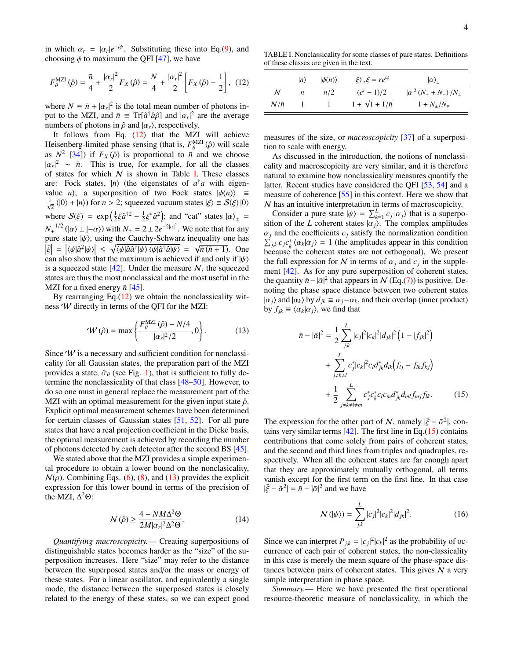in which  $\alpha_r = |\alpha_r|e^{-i\phi}$ . Substituting these into Eq.[\(9\)](#page-2-2), and choosing  $\phi$  to maximum the OFI [47], we have choosing  $\phi$  to maximum the QFI [\[47\]](#page-7-29), we have

$$
F_{\theta}^{\text{MZI}}(\hat{\rho}) = \frac{\bar{n}}{4} + \frac{|\alpha_r|^2}{2} F_X(\hat{\rho}) = \frac{N}{4} + \frac{|\alpha_r|^2}{2} \left[ F_X(\hat{\rho}) - \frac{1}{2} \right], \tag{12}
$$

where  $N = \bar{n} + |\alpha_r|^2$  is the total mean number of photons in-<br>put to the MZL and  $\bar{n} = \text{Tr}[\hat{\alpha}^\dagger \hat{\alpha}\hat{\alpha}]$  and  $|\alpha|^2$  are the average put to the MZI, and  $\bar{n} = Tr[\hat{a}^{\dagger} \hat{a} \hat{\rho}]$  and  $|\alpha_r|^2$  are the average numbers of photons in  $\hat{a}$  and  $|\alpha_r|$  respectively numbers of photons in  $\hat{\rho}$  and  $|\alpha_r\rangle$ , respectively.

It follows from Eq.  $(12)$  that the MZI will achieve Heisenberg-limited phase sensing (that is,  $F_{\theta}^{MZI}(\hat{\rho})$  will scale<br>as  $N^2$  [341) if  $F_{\phi}(\hat{\rho})$  is proportional to  $\bar{\theta}$  and we choose as  $N^2$  [\[34\]](#page-7-30)) if  $F_X(\hat{\rho})$  is proportional to  $\bar{n}$  and we choose<br> $|\alpha|^2 \sim \bar{n}$ . This is true, for example, for all the classes  $|\alpha_r|^2 \sim \bar{n}$ . This is true, for example, for all the classes<br>of states for which N is shown in Table I. These classes of states for which  $N$  is shown in Table [I.](#page-3-1) These classes are: Fock states,  $|n\rangle$  (the eigenstates of  $a^{\dagger}a$  with eigenvalue *n*); a superposition of two Fock states  $|\phi(n)\rangle$  ≡  $\frac{1}{\sqrt{2}}$  (|0) + |*n*)) for *n* > 2; squeezed vacuum states  $|\xi\rangle = S(\xi)$  |0) where  $S(\xi) = \exp(\frac{1}{2}\xi \hat{a}^{\dagger 2} - \frac{1}{2}\xi^* \hat{a}^2)$ ; and "cat" states  $|\alpha\rangle_{\pm} =$  $N_{\pm}^{-1/2}$  ( $|\alpha\rangle \pm |-\alpha\rangle$ ) with  $N_{\pm} = 2 \pm 2e^{-2|\alpha|^2}$ . We note that for any<br>pure state  $|\psi\rangle$  using the Cauchy-Schwarz inequality one has pure state  $|\psi\rangle$ , using the Cauchy-Schwarz inequality one has  $|\vec{z}| = |\langle \psi | \hat{z}^2 | \psi \rangle| \le |\langle \psi | \hat{z}^2 | \psi \rangle|$  $\left|\frac{\zeta}{\zeta}\right| = \left|\langle \psi | \hat{a}^2 | \psi \rangle \right| \leq \sqrt{\langle \psi | \hat{a} \hat{a}^\dagger | \psi \rangle \langle \psi | \hat{a}^\dagger \hat{a} | \psi \rangle} = \sqrt{\bar{n} (\bar{n} + 1)}$ . One can also show that the maximum is achieved if and only if  $\psi \rangle$ . can also show that the maximum is achieved if and only if  $|\psi\rangle$ is a squeezed state  $[42]$ . Under the measure N, the squeezed states are thus the most nonclassical and the most useful in the MZI for a fixed energy  $\bar{n}$  [\[45\]](#page-7-27).

By rearranging Eq. $(12)$  we obtain the nonclassicality witness W directly in terms of the QFI for the MZI:

$$
\mathcal{W}(\hat{\rho}) = \max \left\{ \frac{F_{\theta}^{\text{MZI}}(\hat{\rho}) - N/4}{|\alpha_r|^2/2}, 0 \right\}.
$$
 (13)

Since  $W$  is a necessary and sufficient condition for nonclassicality for all Gaussian states, the preparation part of the MZI provides a state,  $\hat{\sigma}_{\theta}$  (see Fig. [1\)](#page-2-1), that is sufficient to fully determine the nonclassicality of that class [\[48–](#page-7-31)[50\]](#page-7-32). However, to do so one must in general replace the measurement part of the MZI with an optimal measurement for the given input state  $\hat{\rho}$ . Explicit optimal measurement schemes have been determined for certain classes of Gaussian states [\[51,](#page-7-33) [52\]](#page-7-34). For all pure states that have a real projection coefficient in the Dicke basis, the optimal measurement is achieved by recording the number of photons detected by each detector after the second BS [\[45\]](#page-7-27).

We stated above that the MZI provides a simple experimental procedure to obtain a lower bound on the nonclasicality,  $N(\rho)$ . Combining Eqs. [\(6\)](#page-2-3), [\(8\)](#page-2-4), and [\(13\)](#page-3-2) provides the explicit expression for this lower bound in terms of the precision of the MZI,  $\Delta^2\Theta$ :

$$
N(\hat{\rho}) \ge \frac{4 - NM\Delta^2 \Theta}{2M|\alpha_r|^2 \Delta^2 \Theta}.
$$
 (14)

*Quantifying macroscopicity.*— Creating superpositions of distinguishable states becomes harder as the "size" of the superposition increases. Here "size" may refer to the distance between the superposed states and/or the mass or energy of these states. For a linear oscillator, and equivalently a single mode, the distance between the superposed states is closely related to the energy of these states, so we can expect good

<span id="page-3-1"></span>TABLE I. Nonclassicality for some classes of pure states. Definitions of these classes are given in the text.

<span id="page-3-0"></span>

|             | $ n\rangle$ | $ \phi(n)\rangle$ | $ \xi\rangle$ , $\xi = re^{i\phi}$ | $ \alpha\rangle_{+}$           |
|-------------|-------------|-------------------|------------------------------------|--------------------------------|
| N           | n           | n/2               | $(e^r-1)/2$                        | $ \alpha ^2 (N_+ + N_-) / N_+$ |
| $N/\bar{n}$ |             |                   | $1 + \sqrt{1 + 1/\bar{n}}$         | $1 + N_{+}/N_{+}$              |

measures of the size, or *macroscopicity* [\[37\]](#page-7-19) of a superposition to scale with energy.

As discussed in the introduction, the notions of nonclassicality and macroscopicity are very similar, and it is therefore natural to examine how nonclassicality measures quantify the latter. Recent studies have considered the OFI [\[53,](#page-7-35) [54\]](#page-7-36) and a measure of coherence [\[55\]](#page-7-37) in this context. Here we show that N has an intuitive interpretation in terms of macroscopicity.

Consider a pure state  $|\psi\rangle = \sum_{k=1}^{L} c_j |\alpha_j\rangle$  that is a superpotion of the *L* coherent states  $|\alpha_1\rangle$ . The complex amplitudes sition of the *L* coherent states  $|\overrightarrow{a_j}|$ . The complex amplitudes  $\alpha_i$  and the coefficients  $c_j$  satisfy the normalization condition  $\sum_{j,k} c_j c_k^* \langle \alpha_k | \alpha_j \rangle = 1$  (the amplitudes appear in this condition because the coherent states are not orthogonal). We present because the coherent states are not orthogonal). We present the full expression for N in terms of  $\alpha_j$  and  $c_j$  in the supple-<br>ment [42] As for any pure superposition of coherent states ment [\[42\]](#page-7-24). As for any pure superposition of coherent states, the quantity  $\bar{n} - |\bar{\alpha}|^2$  that appears in N (Eq.[\(7\)](#page-2-5)) is positive. Denoting the phase space distance between two coherent states noting the phase space distance between two coherent states  $|\alpha_j\rangle$  and  $|\alpha_k\rangle$  by  $d_{jk} \equiv \alpha_j - \alpha_k$ , and their overlap (inner product) by  $f_{jk} \equiv \langle \alpha_k | \alpha_j \rangle$ , we find that

<span id="page-3-3"></span><span id="page-3-2"></span>
$$
\bar{n} - |\bar{\alpha}|^2 = \frac{1}{2} \sum_{j,k}^{L} |c_j|^2 |c_k|^2 |d_{jk}|^2 (1 - |f_{jk}|^2) + \sum_{j \neq k \neq l}^{L} c_j^* |c_k|^2 c_l d_{jk}^* d_{lk} (f_{lj} - f_{lk} f_{kj}) + \frac{1}{2} \sum_{j \neq k \neq l \neq m}^{L} c_j^* c_k^* c_l c_m d_{jk}^* d_{ml} f_{mj} f_{lk}.
$$
 (15)

The expression for the other part of N, namely  $|\bar{\xi} - \bar{\alpha}^2|$ , contains very similar terms [42]. The first line in Eq. (15) contains tains very similar terms  $[42]$ . The first line in Eq.[\(15\)](#page-3-3) contains contributions that come solely from pairs of coherent states, and the second and third lines from triples and quadruples, respectively. When all the coherent states are far enough apart that they are approximately mutually orthogonal, all terms vanish except for the first term on the first line. In that case  $|\bar{\xi} - \bar{\alpha}^2| = \bar{n} - |\bar{\alpha}|^2$  and we have

$$
\mathcal{N}(|\psi\rangle) = \sum_{j,k}^{L} |c_j|^2 |c_k|^2 |d_{jk}|^2.
$$
 (16)

Since we can interpret  $P_{j,k} = |c_j|^2 |c_k|^2$  as the probability of oc-<br>currence of each pair of coberent states, the non-classicality currence of each pair of coherent states, the non-classicality in this case is merely the mean square of the phase-space distances between pairs of coherent states. This gives  $N$  a very simple interpretation in phase space.

*Summary.*— Here we have presented the first operational resource-theoretic measure of nonclassicality, in which the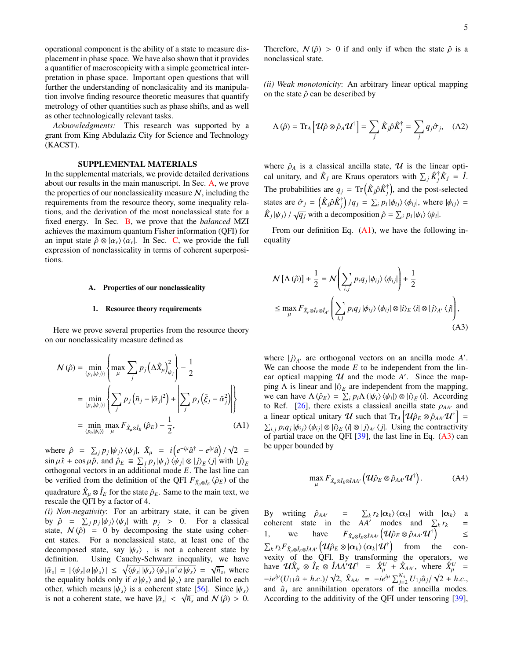operational component is the ability of a state to measure displacement in phase space. We have also shown that it provides a quantifier of macroscopicity with a simple geometrical interpretation in phase space. Important open questions that will further the understanding of nonclasicality and its manipulation involve finding resource theoretic measures that quantify metrology of other quantities such as phase shifts, and as well as other technologically relevant tasks.

*Acknowledgments:* This research was supported by a grant from King Abdulaziz City for Science and Technology (KACST).

## SUPPLEMENTAL MATERIALS

In the supplemental materials, we provide detailed derivations about our results in the main manuscript. In Sec. [A,](#page-4-1) we prove the properties of our nonclassicality measure  $N$ , including the requirements from the resource theory, some inequality relations, and the derivation of the most nonclassical state for a fixed energy. In Sec. [B,](#page-5-0) we prove that the *balanced* MZI achieves the maximum quantum Fisher information (QFI) for an input state  $\hat{\rho} \otimes |\alpha_r\rangle \langle \alpha_r|$ . In Sec. [C,](#page-6-9) we provide the full expression of nonclassicality in terms of coherent superposiexpression of nonclassicality in terms of coherent superpositions.

### <span id="page-4-1"></span>A. Properties of our nonclassicality

#### 1. Resource theory requirements

Here we prove several properties from the resource theory on our nonclassicality measure defined as

$$
N(\hat{\rho}) = \min_{\{p_j, |\psi_j\rangle\}} \left\{ \max_{\mu} \sum_{j} p_j \left( \Delta \hat{X}_{\mu} \right)_{\psi_j}^2 \right\} - \frac{1}{2}
$$
  

$$
= \min_{\{p_j, |\psi_j\rangle\}} \left\{ \sum_{j} p_j \left( \bar{n}_j - |\bar{\alpha}_j|^2 \right) + \left| \sum_{j} p_j \left( \bar{\xi}_j - \bar{\alpha}_j^2 \right) \right| \right\}
$$
  

$$
= \min_{\{p_i, |\psi_i\rangle\}} \max_{\mu} F_{\hat{X}_{\mu} \otimes \hat{I}_{E}} (\hat{\rho}_E) - \frac{1}{2}, \tag{A1}
$$

where  $\hat{\rho} = \sum_j p_j |\psi_j\rangle \langle \psi_j|$ ,  $\hat{X}_{\mu} = i (e^{-i\mu} \hat{a}^{\dagger} - e^{i\mu} \hat{a}) / \sqrt{\frac{2}{\pi}}$  $\lim_{h \to 0} \mu \hat{x} + \cos \mu \hat{p}$ , and  $\hat{\rho}_E \equiv \sum_j p_j |\psi_j\rangle \langle \psi_j| \otimes |j\rangle_E \langle j|$  with  $|j\rangle_E$ <br>orthogonal vectors in an additional mode *F*. The last line can  $2 =$ orthogonal vectors in an additional mode *E*. The last line can be verified from the definition of the QFI  $F_{\hat{X}_{\mu}\otimes\hat{I}_{E}}(\hat{\rho}_{E})$  of the quadrature  $\hat{X}_{\mu} \otimes \hat{I}_{E}$  for the state  $\hat{\rho}_{E}$ . Same to the main text, we rescale the OEI by a factor of 4 rescale the QFI by a factor of 4.

*(i) Non-negativity*: For an arbitrary state, it can be given by  $\hat{\rho} = \sum_j p_j |\psi_j\rangle\langle\psi_j|$  with  $p_j > 0$ . For a classical state  $\mathcal{N}(\hat{\rho}) = 0$  by decomposing the state using coherstate,  $N(\hat{\rho}) = 0$  by decomposing the state using coherent states. For a nonclassical state, at least one of the decomposed state, say  $|\psi_s\rangle$ , is not a coherent state by definition. Using Cauchy-Schwarz inequality, we have definition. Using Cauchy-Schwarz inequality, we have  $|\bar{\alpha}_s| = |\langle \psi_s | a | \psi_s \rangle| \le \sqrt{\langle \psi_s | \psi_s \rangle \langle \psi_s | a^{\dagger} a | \psi_s \rangle} = \sqrt{\bar{n}_s}$ , where the equality holds only if  $a | \psi_s$  and  $| \psi_s$  are parallel to each the equality holds only if  $a|\psi_s\rangle$  and  $|\psi_s\rangle$  are parallel to each other, which means  $|\psi_s\rangle$  is a coherent state [\[56\]](#page-7-38). Since  $|\psi_s\rangle$ <br>is not a coherent state, we have  $|\bar{\alpha}| < \sqrt{\bar{n}}$  and  $\mathcal{N}(\hat{\alpha}) > 0$ is not a coherent state, we have  $|\bar{\alpha}_s| < \sqrt{\bar{n}_s}$  and  $N(\hat{\rho}) > 0$ .

Therefore,  $N(\hat{\rho}) > 0$  if and only if when the state  $\hat{\rho}$  is a nonclassical state.

*(ii) Weak monotonicity*: An arbitrary linear optical mapping on the state  $\hat{\rho}$  can be described by

$$
\Lambda(\hat{\rho}) = \text{Tr}_A \left[ \mathcal{U}\hat{\rho} \otimes \hat{\rho}_A \mathcal{U}^{\dagger} \right] = \sum_j \hat{K}_j \hat{\rho} \hat{K}_j^{\dagger} = \sum_j q_j \hat{\sigma}_j, \quad (A2)
$$

where  $\hat{\rho}_A$  is a classical ancilla state,  $\mathcal U$  is the linear optical unitary, and  $\hat{K}_j$  are Kraus operators with  $\sum_j \hat{K}_j^{\dagger} \hat{K}_j = \hat{I}$ . The probabilities are  $q_j = \text{Tr} \left( \hat{K}_j \hat{\rho} \hat{K}_j^{\dagger} \right)$  $\phi_j^{\dagger}$ ), and the post-selected states are  $\hat{\sigma}_j = (\hat{K}_j \hat{\rho} \hat{K}_j^{\dagger})$  $\int_{i}^{\dagger}$  *j*  $/q_j = \sum_{i} p_i |\phi_{ij}\rangle \langle \phi_{ij}|$ , where  $|\phi_{ij}\rangle =$  $\hat{K}_j |\psi_j\rangle / \sqrt{q_j}$  with a decomposition  $\hat{\rho} = \sum_i p_i |\psi_i\rangle \langle \psi_i|$ .

From our definition Eq.  $(A1)$ , we have the following inequality

<span id="page-4-2"></span>
$$
N[\Lambda(\hat{\rho})] + \frac{1}{2} = N\left(\sum_{i,j} p_i q_j |\phi_{ij}\rangle \langle \phi_{ij}| \right) + \frac{1}{2}
$$
  

$$
\leq \max_{\mu} F_{\hat{X}_{\mu} \otimes \hat{I}_{E} \otimes \hat{I}_{A'}} \left(\sum_{i,j} p_i q_j |\phi_{ij}\rangle \langle \phi_{ij}| \otimes |i\rangle_E \langle i| \otimes |j\rangle_{A'} \langle j| \right),
$$
(A3)

<span id="page-4-0"></span>where  $|j\rangle_{A'}$  are orthogonal vectors on an ancilla mode  $A'$ . We can choose the mode  $E$  to be independent from the linear optical mapping  $U$  and the mode  $A'$ . Since the mapping  $\Lambda$  is linear and  $|i\rangle_E$  are independent from the mapping, we can have  $\Lambda(\hat{\rho}_E) = \sum_i p_i \Lambda(|\psi_i\rangle \langle \psi_i|) \otimes |i\rangle_E \langle i|$ . According<br>to Ref. [26] there exists a classical ancilla state  $\rho_{\text{A}}\omega$  and to Ref. [\[26\]](#page-7-12), there exists a classical ancilla state  $\rho_{AA'}$  and a linear optical unitary U such that  $Tr_A [\mathcal{U}\hat{\rho}_E \otimes \hat{\rho}_{AA'} \mathcal{U}^{\dagger}] = \sum_{\text{D,Q}} \rho_{AA} \Delta(\hat{\rho}_{A}) \langle \hat{\rho}_{A} | \hat{\rho}_{A'} | \hat{\rho}_{A'} | \hat{\rho}_{A'} | \hat{\rho}_{A'} | \hat{\rho}_{A'} | \hat{\rho}_{A'} | \hat{\rho}_{A'} | \hat{\rho}_{A'} | \hat{\rho}_{A'} | \hat{\rho}_{A'} | \hat{\rho}_{A'} | \hat{\rho}_{A'} | \hat{\rho}_{A'} | \hat{\rho}_{A'} | \hat{\$  $\sum_{i,j} p_i q_j |\phi_{ij}\rangle \langle \phi_{ij}| \otimes |i\rangle_E \langle i| \otimes |j\rangle_A \langle j|$ . Using the contractivity of partial trace on the OFI [39] the last line in Eq. (43) can of partial trace on the QFI  $[39]$ , the last line in Eq.  $(A3)$  can be upper bounded by

$$
\max_{\mu} F_{\hat{X}_{\mu} \otimes \hat{I}_E \otimes \hat{I}AA'} \left( \mathcal{U} \hat{\rho}_E \otimes \hat{\rho}_{AA'} \mathcal{U}^{\dagger} \right). \tag{A4}
$$

By writing  $\hat{\rho}_{AA'}$  =  $\sum_{k} r_k |\alpha_k\rangle \langle \alpha_k|$  with  $|\alpha_k\rangle$  a<br>coherent state in the AA' modes and  $\Sigma_r r_l$  = coherent state in the  $AA'$  modes and  $\sum_k r_k$  = 1, we have  $F_{\hat{X}_{\mu}\otimes \hat{I}_{E}\otimes \hat{I}_{AA'}}(\mathcal{U}\hat{\rho}_{E}\otimes \hat{\rho}_{AA'}\mathcal{U}^{\dagger})$ ≤  $\sum_{k} r_{k} F_{\hat{X}_{\mu} \otimes \hat{I}_{L} \otimes \hat{I}_{L} A} \left( \mathcal{U} \hat{\rho}_{E} \otimes |\alpha_{k} \rangle \langle \alpha_{k} | \mathcal{U}^{\dagger} \right)$  from the convexity of the QFI. By transforming the operators, we have  $\mathcal{U}\hat{X}_{\mu}\otimes \hat{I}_E \otimes \hat{I}A^{\lambda'}\mathcal{U}^{\dagger} = \hat{X}_{\mu}^U + \hat{X}_{AA}^{\lambda}, \text{ where } \hat{X}_{\mu}^U = \hat{X}_{\mu}^U \hat{X}_{\mu}^{\lambda} \hat{X}_{\mu}^{\lambda}$  $-i e^{i\mu} (U_{11} \hat{a} + h.c.) / \sqrt{2}, \ \hat{X}_{AA'} = -i e^{i\mu} \sum_{j=2}^{N_A} U_{1j} \hat{a}_j / \sqrt{2} + h.c.,$ and  $\hat{a}_i$  are annihilation operators of the anneilla modes. According to the additivity of the QFI under tensoring [\[39\]](#page-7-21),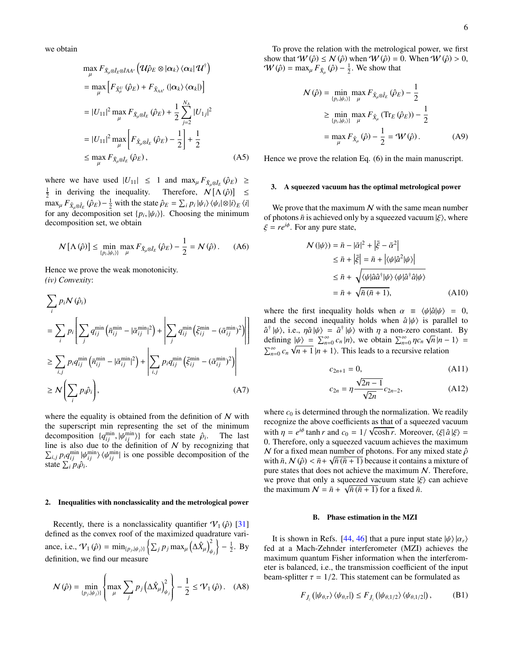we obtain

$$
\max_{\mu} F_{\hat{X}_{\mu} \otimes \hat{I}_{E} \otimes \hat{I}_{AA'}} \left( \mathcal{U} \hat{\rho}_{E} \otimes |\alpha_{k} \rangle \langle \alpha_{k} | \mathcal{U}^{\dagger} \right)
$$
\n
$$
= \max_{\mu} \left[ F_{\hat{X}_{\mu}^{U}} (\hat{\rho}_{E}) + F_{\hat{X}_{AA'}} (|\alpha_{k} \rangle \langle \alpha_{k}|) \right]
$$
\n
$$
= |U_{11}|^{2} \max_{\mu} F_{\hat{X}_{\mu} \otimes \hat{I}_{E}} (\hat{\rho}_{E}) + \frac{1}{2} \sum_{j=2}^{N_{A}} |U_{1j}|^{2}
$$
\n
$$
= |U_{11}|^{2} \max_{\mu} \left[ F_{\hat{X}_{\mu} \otimes \hat{I}_{E}} (\hat{\rho}_{E}) - \frac{1}{2} \right] + \frac{1}{2}
$$
\n
$$
\leq \max_{\mu} F_{\hat{X}_{\mu} \otimes \hat{I}_{E}} (\hat{\rho}_{E}), \tag{A5}
$$

where we have used  $|U_{11}| \le 1$  and  $\max_{\mu} F_{\hat{X}_{\mu} \otimes \hat{I}_{E}} (\hat{\varphi}_{E}) \ge$  $\frac{1}{2}$  in deriving the inequality. Therefore,  $N[\Lambda(\hat{\rho})] \le$ <br>may  $F_{\lambda} = (\hat{\rho}_{\lambda})^{-1}$  with the state  $\hat{\rho}_{\lambda} = \sum_{\lambda} P_{\lambda} |\psi_{\lambda}| / \psi_{\lambda} |\hat{\rho}|$  $\max_{\mu} F_{\hat{X}_{\mu} \otimes \hat{I}_{E}} (\hat{\rho}_{E}) - \frac{1}{2}$  with the state  $\hat{\rho}_{E} = \sum_{i} p_{i} |\psi_{i}\rangle \langle \psi_{i}| \otimes |i\rangle_{E} \langle i|$ for any decomposition set  $\{p_i, |\psi_i\rangle\}$ . Choosing the minimum decomposition set we obtain decomposition set, we obtain

$$
\mathcal{N}\left[\Lambda\left(\hat{\rho}\right)\right] \le \min_{\{p_i, |\psi_i\rangle\}} \max_{\mu} F_{\hat{X}_{\mu} \otimes \hat{I}_E} \left(\hat{\rho}_E\right) - \frac{1}{2} = \mathcal{N}\left(\hat{\rho}\right). \tag{A6}
$$

Hence we prove the weak monotonicity. *(iv) Convexity*:

µ

$$
\sum_{i} p_{i} N(\hat{\rho}_{i})
$$
\n
$$
= \sum_{i} p_{i} \left[ \sum_{j} q_{ij}^{\min} \left( \bar{n}_{ij}^{\min} - |\bar{\alpha}_{ij}^{\min}|^{2} \right) + \left| \sum_{j} q_{ij}^{\min} \left( \bar{\xi}_{ij}^{\min} - (\bar{\alpha}_{ij}^{\min})^{2} \right) \right| \right]
$$
\n
$$
\geq \sum_{i,j} p_{i} q_{ij}^{\min} \left( \bar{n}_{ij}^{\min} - |\bar{\alpha}_{ij}^{\min}|^{2} \right) + \left| \sum_{i,j} p_{i} q_{ij}^{\min} \left( \bar{\xi}_{ij}^{\min} - (\bar{\alpha}_{ij}^{\min})^{2} \right) \right|
$$
\n
$$
\geq N \left( \sum_{i} p_{i} \hat{\rho}_{i} \right), \tag{A7}
$$

where the equality is obtained from the definition of  $N$  with the superscript min representing the set of the minimum decomposition  $\{q_{ij}^{\min}, |\psi_{ij}^{\min}\rangle\}$  for each state  $\hat{\rho}_i$ <br>line is also due to the definition of N by reco . The last line is also due to the definition of  $N$  by recognizing that  $\sum_{i,j} p_i q_{ij}^{\min} |\psi_{ij}^{\min}\rangle \langle \psi_{ij}^{\min}|$  is one possible decomposition of the state  $\sum_i p_i \hat{\alpha}_i$ . state  $\sum_i p_i \hat{\rho}_i$ .

#### 2. Inequalities with nonclassicality and the metrological power

Recently, there is a nonclassicality quantifier  $V_1(\hat{\rho})$  [\[31\]](#page-7-14) defined as the convex roof of the maximized quadrature variance, i.e.,  $\mathcal{V}_1(\hat{\rho}) = \min_{\{p_j, |\psi_j\rangle\}} \left\{ \sum_j p_j \max_{\mu} \left( \Delta \hat{X}_{\mu} \right) \right\}$  $\chi^2$ ψ*j*  $\left\} - \frac{1}{2}$ . By definition, we find our measure

$$
\mathcal{N}\left(\hat{\rho}\right) = \min_{\{p_j, |\psi_j\rangle\}} \left\{ \max_{\mu} \sum_{j} p_j \left(\Delta \hat{X}_{\mu}\right)_{\psi_j}^2 \right\} - \frac{1}{2} \le \mathcal{V}_1\left(\hat{\rho}\right). \quad (A8)
$$

To prove the relation with the metrological power, we first show that  $W(\hat{\rho}) \le N(\hat{\rho})$  when  $W(\hat{\rho}) = 0$ . When  $W(\hat{\rho}) > 0$ ,  $W(\hat{\rho}) = \max_{\mu} F_{\hat{X}_{\mu}}(\hat{\rho}) - \frac{1}{2}$ . We show that

µ

$$
\mathcal{N}(\hat{\rho}) = \min_{\{p_i, |\psi_i\rangle\}} \max_{\mu} F_{\hat{X}_{\mu} \otimes \hat{I}_E} (\hat{\rho}_E) - \frac{1}{2}
$$
  
\n
$$
\geq \min_{\{p_i, |\psi_i\rangle\}} \max_{\mu} F_{\hat{X}_{\mu}} (\text{Tr}_E (\hat{\rho}_E)) - \frac{1}{2}
$$
  
\n
$$
= \max_{\mu} F_{\hat{X}_{\mu}} (\hat{\rho}) - \frac{1}{2} = \mathcal{W}(\hat{\rho}). \tag{A9}
$$

Hence we prove the relation Eq. (6) in the main manuscript.

## 3. A squeezed vacuum has the optimal metrological power

We prove that the maximum  $N$  with the same mean number of photons  $\bar{n}$  is achieved only by a squeezed vacuum  $|\xi\rangle$ , where  $\xi = re^{i\phi}$ . For any pure state,

$$
\mathcal{N}(|\psi\rangle) = \bar{n} - |\bar{\alpha}|^2 + |\bar{\xi} - \bar{\alpha}^2|
$$
  
\n
$$
\leq \bar{n} + |\bar{\xi}| = \bar{n} + |\langle \psi | \hat{\alpha}^2 | \psi \rangle|
$$
  
\n
$$
\leq \bar{n} + \sqrt{\langle \psi | \hat{\alpha} \hat{\alpha}^\dagger | \psi \rangle \langle \psi | \hat{\alpha}^\dagger \hat{\alpha} | \psi \rangle}
$$
  
\n
$$
= \bar{n} + \sqrt{\bar{n} (\bar{n} + 1)},
$$
 (A10)

where the first inequality holds when  $\alpha \equiv \langle \psi | \hat{a} | \psi \rangle = 0$ , and the second inequality holds when  $\hat{a} | \psi \rangle$  is parallel to  $\hat{a}^{\dagger} | \psi \rangle$ , i.e.,  $\eta \hat{a} | \psi \rangle = \hat{a}^{\dagger} | \psi \rangle$  with  $\eta$  a non-zero constant. By defining  $|\psi \rangle = \sum_{n=0}^{\infty} c_n |n\rangle$ , we obtain  $\sum_{n=0}^{\infty} n c_n \sqrt{n} |n-1\rangle =$ defining  $|\psi\rangle = \sum_{n=0}^{\infty} c_n |n\rangle$ , we obtain  $\sum_{n=0}^{\infty} \eta c_n \sqrt{n} |n-1\rangle = \sum_{n=0}^{\infty} a_n \sqrt{n+1} |n+1\rangle$ . This loods to a requisive relation  $\sum_{n=0}^{\infty} c_n \sqrt{n+1} |n+1\rangle$ . This leads to a recursive relation

$$
c_{2n+1} = 0,\tag{A11}
$$

$$
c_{2n} = \eta \frac{\sqrt{2n - 1}}{\sqrt{2n}} c_{2n-2},
$$
 (A12)

where  $c_0$  is determined through the normalization. We readily recognize the above coefficients as that of a squeezed vacuum with  $\eta = e^{i\phi}$  tanh *r* and  $c_0 = 1/\sqrt{\cosh r}$ . Moreover,  $\langle \xi | \hat{a} | \xi \rangle = 0$ . Therefore, only a squeezed vacuum achieves the maximum 0. Therefore, only a squeezed vacuum achieves the maximum N for a fixed mean number of photons. For any mixed state  $\hat{\rho}$ <br>with  $\bar{p}$ ,  $N(\hat{\rho}) < \bar{p} + \sqrt{\bar{n}(\bar{n} + 1)}$  because it contains a mixture of with  $\bar{n}$ ,  $\mathcal{N}(\hat{\rho}) < \bar{n} + \sqrt{\bar{n}(\bar{n}+1)}$  because it contains a mixture of pure states that does not achieve the maximum  $\mathcal{N}$ . Therefore pure states that does not achieve the maximum  $N$ . Therefore, we prove that only a squeezed vacuum state  $|\xi\rangle$  can achieve<br>the maximum  $\mathcal{N} = \bar{n} + \sqrt{\bar{n}(\bar{n}+1)}$  for a fixed  $\bar{n}$ the maximum  $N = \bar{n} + \sqrt{\bar{n}(\bar{n} + 1)}$  for a fixed  $\bar{n}$ .

## B. Phase estimation in the MZI

<span id="page-5-0"></span>It is shown in Refs. [\[44,](#page-7-26) [46\]](#page-7-28) that a pure input state  $|\psi\rangle |\alpha_r\rangle$ fed at a Mach-Zehnder interferometer (MZI) achieves the maximum quantum Fisher information when the interferometer is balanced, i.e., the transmission coefficient of the input beam-splitter  $\tau = 1/2$ . This statement can be formulated as

<span id="page-5-1"></span>
$$
F_{\hat{J}_z}(\vert\psi_{\theta,\tau}\rangle\langle\psi_{\theta,\tau}\vert)\leq F_{\hat{J}_z}(\vert\psi_{\theta,1/2}\rangle\langle\psi_{\theta,1/2}\vert)\,,\qquad \quad \text{(B1)}
$$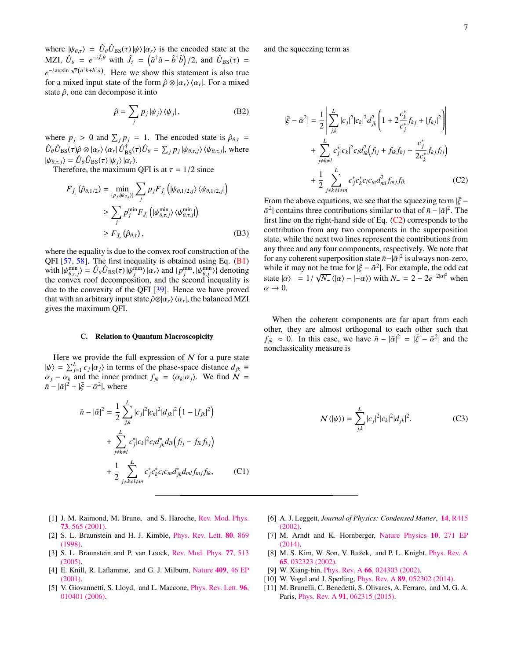where  $|\psi_{\theta,\tau}\rangle = \hat{U}_{\theta}\hat{U}_{\text{BS}}(\tau)|\psi\rangle|\alpha_r\rangle$  is the encoded state at the M<sub>71</sub>  $\hat{U}_{\theta} = e^{-i\hat{L}\theta}$  with  $\hat{I}_{\theta} = (e^{\frac{i}{2}\hat{\phi}} - \hat{L}^{\dagger}\hat{\phi})/2$  and  $\hat{U}_{\theta}(\sigma) =$ MZI,  $\hat{U}_{\theta} = e^{-i\hat{J}_{z}\theta}$  with  $\hat{J}_{z} = (\hat{a}^{\dagger}\hat{a} - \hat{b}^{\dagger}\hat{b})/2$ , and  $\hat{U}_{BS}(\tau) =$  $e^{-i \arcsin \sqrt{\tau(a^{\dagger}b+b^{\dagger}a})}$ . Here we show this statement is also true for a mixed input state of the form  $\hat{\rho} \otimes |\alpha_r\rangle \langle \alpha_r|$ . For a mixed state  $\hat{\alpha}$  one can decompose it into state  $\hat{\rho}$ , one can decompose it into

$$
\hat{\rho} = \sum_{j} p_j |\psi_j\rangle \langle \psi_j|, \tag{B2}
$$

where  $p_j > 0$  and  $\sum_j p_j = 1$ . The encoded state is  $\hat{\rho}_{\theta,\tau} = \hat{\rho}(\hat{p}_j, \hat{\rho}_j)$  $\hat{U}_{\theta} \hat{U}_{\text{BS}}(\tau) \hat{\rho} \otimes |\alpha_r \rangle \langle \alpha_r | \hat{U}_{\text{BS}}^{\dagger}(\tau) \hat{U}_{\theta} = \sum_j p_j |\psi_{\theta,\tau,j}\rangle \langle \psi_{\theta,\tau,j}|,$  where  $|\psi_{\theta,\tau,j}\rangle = \hat{U}_{\theta}\hat{U}_{\text{BS}}(\tau)|\psi_j\rangle|\alpha_r\rangle.$ <br>Therefore the maximum

Therefore, the maximum QFI is at  $\tau = 1/2$  since

$$
F_{\hat{J}_z}(\hat{\rho}_{\theta,1/2}) = \min_{\{p_j, |\psi_{\theta,j}\rangle\}} \sum_j p_j F_{\hat{J}_z} (|\psi_{\theta,1/2,j}\rangle \langle \psi_{\theta,1/2,j}|)
$$
  
\n
$$
\geq \sum_j p_j^{\min} F_{\hat{J}_z} (|\psi_{\theta,\tau,j}^{\min}\rangle \langle \psi_{\theta,\tau,j}^{\min}|)
$$
  
\n
$$
\geq F_{\hat{J}_z}(\hat{\rho}_{\theta,\tau}),
$$
 (B3)

where the equality is due to the convex roof construction of the QFI [\[57,](#page-7-39) [58\]](#page-7-40). The first inequality is obtained using Eq. [\(B1\)](#page-5-1) with  $|\psi_{a,\tau}^{\min}\rangle = \hat{U}_{\theta}\hat{U}_{\text{BS}}(\tau)|\psi_{j}^{\min}\rangle |\alpha_{r}\rangle$  and  $\{p_{j}^{\min}, |\psi_{\theta,j}^{\min}\rangle\}$  denoting the convex roof decomposition and the second inequality is the convex roof decomposition, and the second inequality is due to the convexity of the QFI [\[39\]](#page-7-21). Hence we have proved that with an arbitrary input state  $\hat{\rho} \otimes |\alpha_r\rangle \langle \alpha_r|$ , the balanced MZI prives the maximum OFI gives the maximum QFI.

### C. Relation to Quantum Macroscopicity

<span id="page-6-9"></span>Here we provide the full expression of  $N$  for a pure state  $|\psi\rangle = \sum_{j=1}^{L} c_j |\alpha_j\rangle$  in terms of the phase-space distance  $d_{jk} \equiv \alpha_j - \alpha_k$  and the inner product  $f_{jk} = \langle \alpha_k | \alpha_j \rangle$ . We find  $\mathcal{N} =$  $\alpha_j - \alpha_k$  and the inner product  $f_{jk} = \langle \alpha_k | \alpha_j \rangle$ . We find  $\mathcal{N} =$  $\bar{n} - |\bar{\alpha}|^2 + |\bar{\xi} - \bar{\alpha}^2|$ , where

$$
\bar{n} - |\bar{\alpha}|^2 = \frac{1}{2} \sum_{j,k}^{L} |c_j|^2 |c_k|^2 |d_{jk}|^2 (1 - |f_{jk}|^2) \n+ \sum_{j \neq k \neq l}^{L} c_j^* |c_k|^2 c_l d_{jk}^* d_{lk} (f_{lj} - f_{lk} f_{kj}) \n+ \frac{1}{2} \sum_{j \neq k \neq l \neq m}^{L} c_j^* c_k^* c_l c_m d_{jk}^* d_{ml} f_{mj} f_{lk},
$$
\n(C1)

and the squeezing term as

<span id="page-6-10"></span>
$$
|\bar{\xi} - \bar{\alpha}^2| = \frac{1}{2} \left| \sum_{j,k}^{L} |c_j|^2 |c_k|^2 d_{jk}^2 \left( 1 + 2 \frac{c_k^*}{c_j^*} f_{kj} + |f_{kj}|^2 \right) \right|
$$
  
+ 
$$
\sum_{j \neq k \neq l}^{L} c_j^* |c_k|^2 c_l d_k^2 (f_{lj} + f_{lk} f_{kj} + \frac{c_j^*}{2c_k^*} f_{kj} f_{lj})
$$
  
+ 
$$
\frac{1}{2} \sum_{j \neq k \neq l \neq m}^{L} c_j^* c_k^* c_l c_m d_{ml}^2 f_{mj} f_{lk}
$$
 (C2)

From the above equations, we see that the squeezing term  $|\bar{\xi}$  –  $\bar{\alpha}^2$ | contains three contributions similar to that of  $\bar{n} - |\bar{\alpha}|^2$ . The first line on the right-hand side of Eq. (C<sub>2</sub>) corresponds to the first line on the right-hand side of Eq.  $(C2)$  corresponds to the contribution from any two components in the superposition state, while the next two lines represent the contributions from any three and any four components, respectively. We note that for any coherent superposition state  $\bar{n} - |\bar{\alpha}|^2$  is always non-zero,<br>while it may not be true for  $|\bar{\xi} - \bar{\alpha}^2|$ . For example, the odd cat while it may not be true for  $|\bar{\xi} - \bar{\alpha}^2|$ . For example, the odd cat<br>state  $|\alpha\rangle = 1/\sqrt{N}$  ( $|\alpha\rangle = |\alpha\rangle$ ) with  $N = 2 - 2e^{-2|\alpha|^2}$  when state  $|\alpha\rangle = 1/\sqrt{N_-} (|\alpha\rangle - |- \alpha\rangle)$  with  $N_- = 2 - 2e^{-2|\alpha|^2}$  when  $\alpha \to 0$  $\alpha \rightarrow 0$ .

When the coherent components are far apart from each other, they are almost orthogonal to each other such that  $f_{jk} \approx 0$ . In this case, we have  $\bar{n} - |\bar{\alpha}|^2 = |\bar{\xi} - \bar{\alpha}^2|$  and the nonclassicality measure is nonclassicality measure is

$$
\mathcal{N}(|\psi\rangle) = \sum_{j,k}^{L} |c_j|^2 |c_k|^2 |d_{jk}|^2.
$$
 (C3)

- <span id="page-6-0"></span>[1] J. M. Raimond, M. Brune, and S. Haroche, [Rev. Mod. Phys.](http://dx.doi.org/10.1103/RevModPhys.73.565) 73[, 565 \(2001\).](http://dx.doi.org/10.1103/RevModPhys.73.565)
- <span id="page-6-1"></span>[2] S. L. Braunstein and H. J. Kimble, [Phys. Rev. Lett.](http://dx.doi.org/10.1103/PhysRevLett.80.869) 80, 869 [\(1998\).](http://dx.doi.org/10.1103/PhysRevLett.80.869)
- <span id="page-6-2"></span>[3] S. L. Braunstein and P. van Loock, [Rev. Mod. Phys.](http://dx.doi.org/10.1103/RevModPhys.77.513) 77, 513 [\(2005\).](http://dx.doi.org/10.1103/RevModPhys.77.513)
- <span id="page-6-3"></span>[4] E. Knill, R. Laflamme, and G. J. Milburn, Nature 409[, 46 EP](https://doi.org/10.1038/35051009) [\(2001\).](https://doi.org/10.1038/35051009)
- <span id="page-6-4"></span>[5] V. Giovannetti, S. Lloyd, and L. Maccone, *[Phys. Rev. Lett.](http://dx.doi.org/10.1103/PhysRevLett.96.010401)* 96, [010401 \(2006\).](http://dx.doi.org/10.1103/PhysRevLett.96.010401)
- <span id="page-6-5"></span>[6] A. J. Leggett, *Journal of Physics: Condensed Matter*, 14[, R415](http://dx.doi.org/10.1088/0953-8984/14/15/201) [\(2002\).](http://dx.doi.org/10.1088/0953-8984/14/15/201)
- <span id="page-6-6"></span>[7] M. Arndt and K. Hornberger, [Nature Physics](https://doi.org/10.1038/nphys2863) 10, 271 EP [\(2014\).](https://doi.org/10.1038/nphys2863)
- <span id="page-6-7"></span>[8] M. S. Kim, W. Son, V. Bužek, and P. L. Knight, *[Phys. Rev. A](http://dx.doi.org/10.1103/PhysRevA.65.032323)* 65[, 032323 \(2002\).](http://dx.doi.org/10.1103/PhysRevA.65.032323)
- [9] W. Xiang-bin, Phys. Rev. A 66[, 024303 \(2002\).](http://dx.doi.org/10.1103/PhysRevA.66.024303)
- <span id="page-6-8"></span>[10] W. Vogel and J. Sperling, *Phys. Rev. A* **89**[, 052302 \(2014\).](http://dx.doi.org/10.1103/PhysRevA.89.052302)
- [11] M. Brunelli, C. Benedetti, S. Olivares, A. Ferraro, and M. G. A. Paris, Phys. Rev. A 91[, 062315 \(2015\).](http://dx.doi.org/ 10.1103/PhysRevA.91.062315)